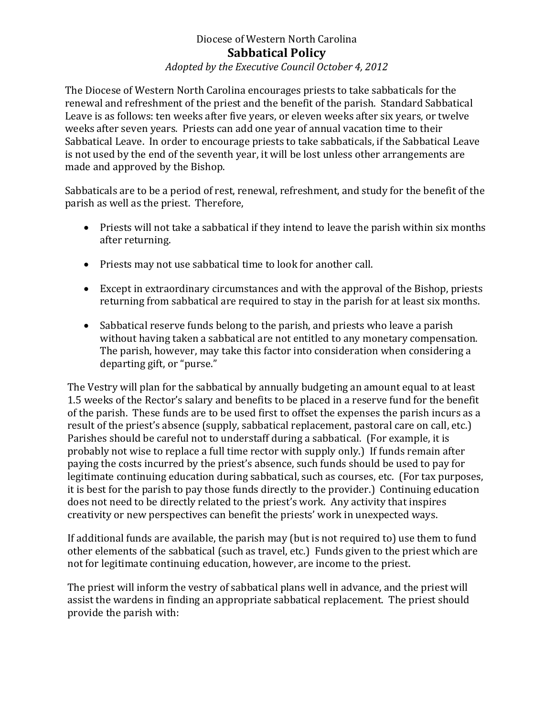## Diocese of Western North Carolina **Sabbatical Policy**

## *Adopted by the Executive Council October 4, 2012*

The Diocese of Western North Carolina encourages priests to take sabbaticals for the renewal and refreshment of the priest and the benefit of the parish. Standard Sabbatical Leave is as follows: ten weeks after five years, or eleven weeks after six years, or twelve weeks after seven years. Priests can add one year of annual vacation time to their Sabbatical Leave. In order to encourage priests to take sabbaticals, if the Sabbatical Leave is not used by the end of the seventh year, it will be lost unless other arrangements are made and approved by the Bishop.

Sabbaticals are to be a period of rest, renewal, refreshment, and study for the benefit of the parish as well as the priest. Therefore,

- Priests will not take a sabbatical if they intend to leave the parish within six months after returning.
- Priests may not use sabbatical time to look for another call.
- Except in extraordinary circumstances and with the approval of the Bishop, priests returning from sabbatical are required to stay in the parish for at least six months.
- Sabbatical reserve funds belong to the parish, and priests who leave a parish without having taken a sabbatical are not entitled to any monetary compensation. The parish, however, may take this factor into consideration when considering a departing gift, or "purse."

The Vestry will plan for the sabbatical by annually budgeting an amount equal to at least 1.5 weeks of the Rector's salary and benefits to be placed in a reserve fund for the benefit of the parish. These funds are to be used first to offset the expenses the parish incurs as a result of the priest's absence (supply, sabbatical replacement, pastoral care on call, etc.) Parishes should be careful not to understaff during a sabbatical. (For example, it is probably not wise to replace a full time rector with supply only.) If funds remain after paying the costs incurred by the priest's absence, such funds should be used to pay for legitimate continuing education during sabbatical, such as courses, etc. (For tax purposes, it is best for the parish to pay those funds directly to the provider.) Continuing education does not need to be directly related to the priest's work. Any activity that inspires creativity or new perspectives can benefit the priests' work in unexpected ways.

If additional funds are available, the parish may (but is not required to) use them to fund other elements of the sabbatical (such as travel, etc.) Funds given to the priest which are not for legitimate continuing education, however, are income to the priest.

The priest will inform the vestry of sabbatical plans well in advance, and the priest will assist the wardens in finding an appropriate sabbatical replacement. The priest should provide the parish with: